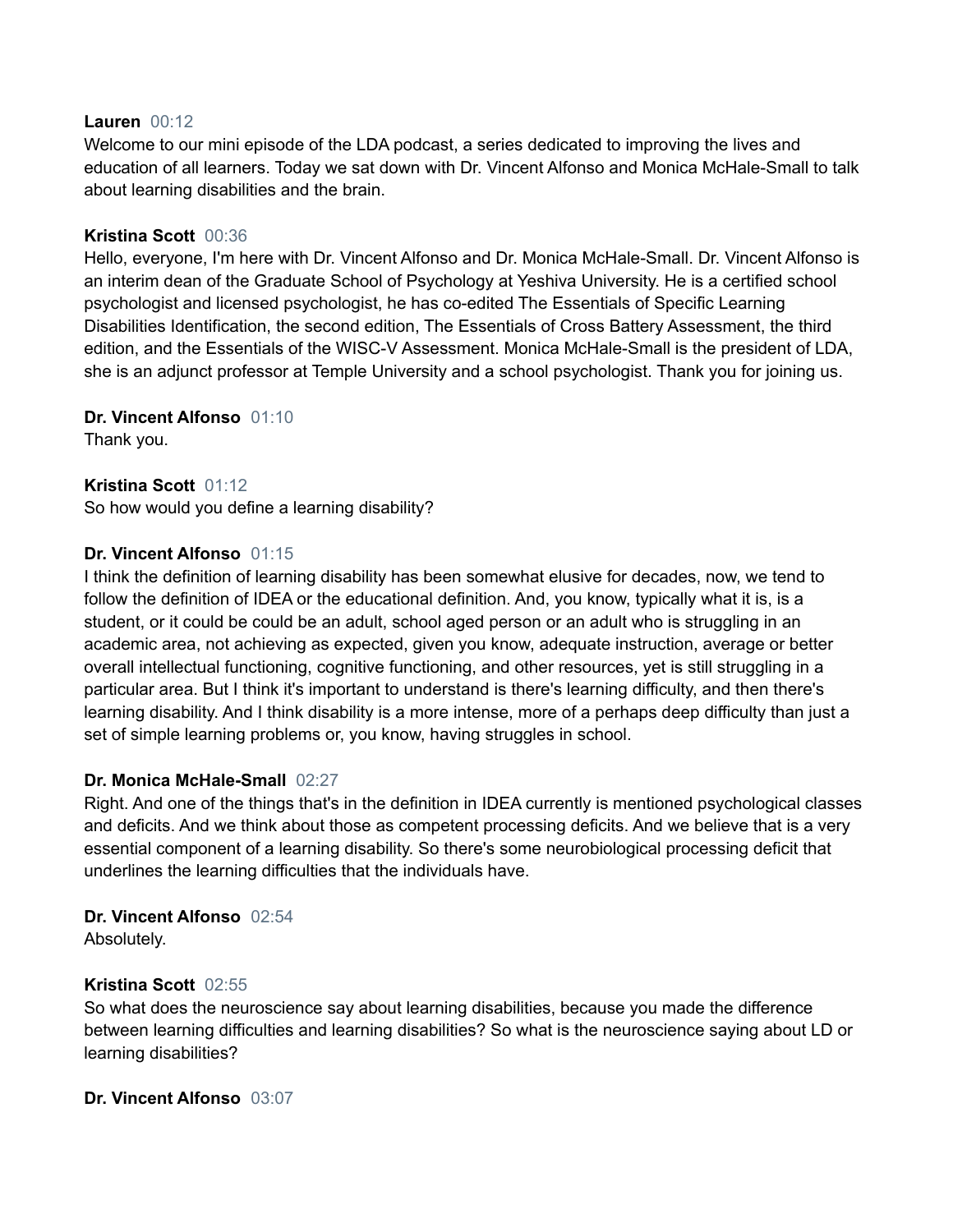#### **Lauren** 00:12

Welcome to our mini episode of the LDA podcast, a series dedicated to improving the lives and education of all learners. Today we sat down with Dr. Vincent Alfonso and Monica McHale-Small to talk about learning disabilities and the brain.

## **Kristina Scott** 00:36

Hello, everyone, I'm here with Dr. Vincent Alfonso and Dr. Monica McHale-Small. Dr. Vincent Alfonso is an interim dean of the Graduate School of Psychology at Yeshiva University. He is a certified school psychologist and licensed psychologist, he has co-edited The Essentials of Specific Learning Disabilities Identification, the second edition, The Essentials of Cross Battery Assessment, the third edition, and the Essentials of the WISC-V Assessment. Monica McHale-Small is the president of LDA, she is an adjunct professor at Temple University and a school psychologist. Thank you for joining us.

# **Dr. Vincent Alfonso** 01:10

Thank you.

# **Kristina Scott** 01:12

So how would you define a learning disability?

#### **Dr. Vincent Alfonso** 01:15

I think the definition of learning disability has been somewhat elusive for decades, now, we tend to follow the definition of IDEA or the educational definition. And, you know, typically what it is, is a student, or it could be could be an adult, school aged person or an adult who is struggling in an academic area, not achieving as expected, given you know, adequate instruction, average or better overall intellectual functioning, cognitive functioning, and other resources, yet is still struggling in a particular area. But I think it's important to understand is there's learning difficulty, and then there's learning disability. And I think disability is a more intense, more of a perhaps deep difficulty than just a set of simple learning problems or, you know, having struggles in school.

# **Dr. Monica McHale-Small** 02:27

Right. And one of the things that's in the definition in IDEA currently is mentioned psychological classes and deficits. And we think about those as competent processing deficits. And we believe that is a very essential component of a learning disability. So there's some neurobiological processing deficit that underlines the learning difficulties that the individuals have.

# **Dr. Vincent Alfonso** 02:54

Absolutely.

# **Kristina Scott** 02:55

So what does the neuroscience say about learning disabilities, because you made the difference between learning difficulties and learning disabilities? So what is the neuroscience saying about LD or learning disabilities?

# **Dr. Vincent Alfonso** 03:07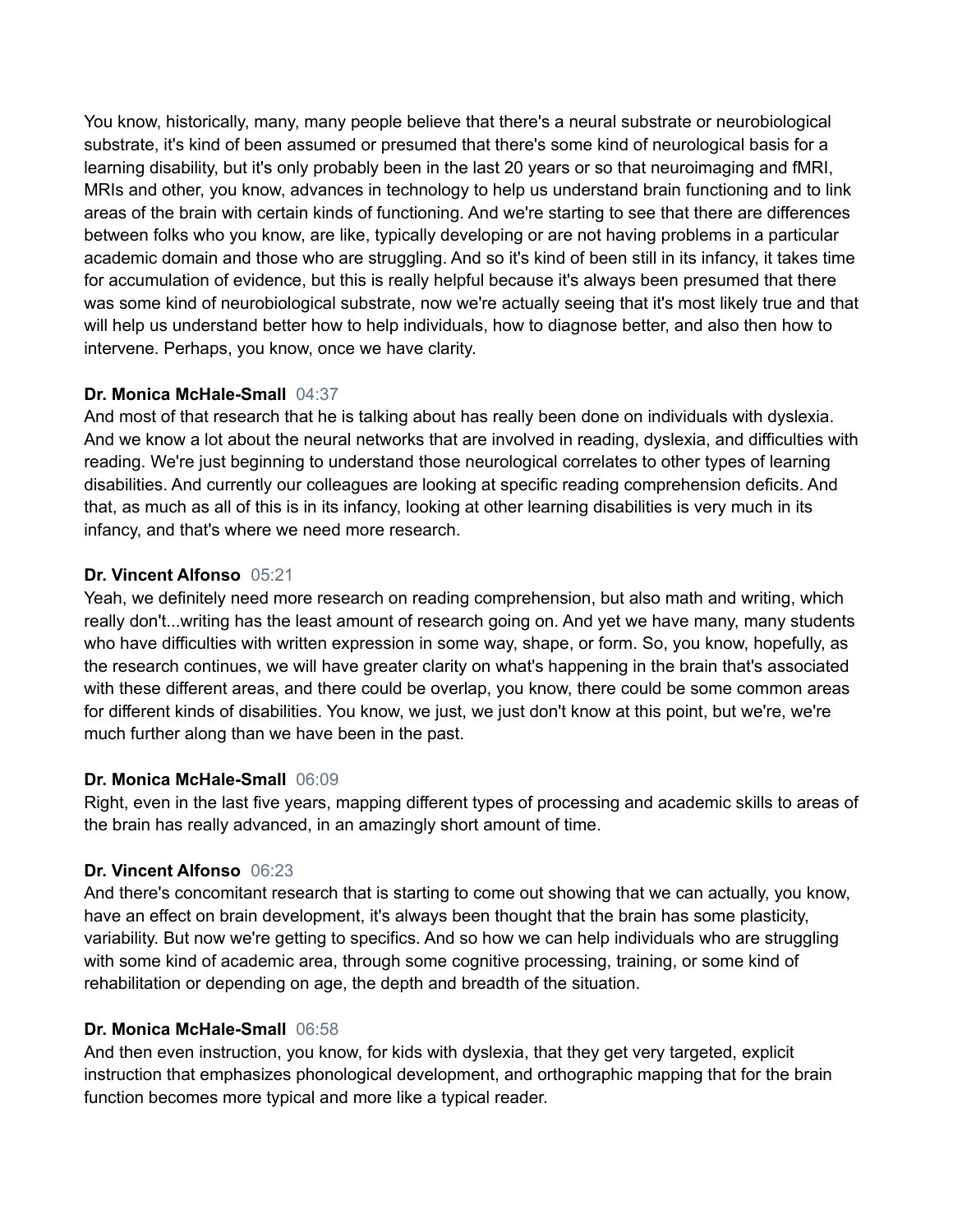You know, historically, many, many people believe that there's a neural substrate or neurobiological substrate, it's kind of been assumed or presumed that there's some kind of neurological basis for a learning disability, but it's only probably been in the last 20 years or so that neuroimaging and fMRI, MRIs and other, you know, advances in technology to help us understand brain functioning and to link areas of the brain with certain kinds of functioning. And we're starting to see that there are differences between folks who you know, are like, typically developing or are not having problems in a particular academic domain and those who are struggling. And so it's kind of been still in its infancy, it takes time for accumulation of evidence, but this is really helpful because it's always been presumed that there was some kind of neurobiological substrate, now we're actually seeing that it's most likely true and that will help us understand better how to help individuals, how to diagnose better, and also then how to intervene. Perhaps, you know, once we have clarity.

# **Dr. Monica McHale-Small** 04:37

And most of that research that he is talking about has really been done on individuals with dyslexia. And we know a lot about the neural networks that are involved in reading, dyslexia, and difficulties with reading. We're just beginning to understand those neurological correlates to other types of learning disabilities. And currently our colleagues are looking at specific reading comprehension deficits. And that, as much as all of this is in its infancy, looking at other learning disabilities is very much in its infancy, and that's where we need more research.

# **Dr. Vincent Alfonso** 05:21

Yeah, we definitely need more research on reading comprehension, but also math and writing, which really don't...writing has the least amount of research going on. And yet we have many, many students who have difficulties with written expression in some way, shape, or form. So, you know, hopefully, as the research continues, we will have greater clarity on what's happening in the brain that's associated with these different areas, and there could be overlap, you know, there could be some common areas for different kinds of disabilities. You know, we just, we just don't know at this point, but we're, we're much further along than we have been in the past.

# **Dr. Monica McHale-Small** 06:09

Right, even in the last five years, mapping different types of processing and academic skills to areas of the brain has really advanced, in an amazingly short amount of time.

# **Dr. Vincent Alfonso** 06:23

And there's concomitant research that is starting to come out showing that we can actually, you know, have an effect on brain development, it's always been thought that the brain has some plasticity, variability. But now we're getting to specifics. And so how we can help individuals who are struggling with some kind of academic area, through some cognitive processing, training, or some kind of rehabilitation or depending on age, the depth and breadth of the situation.

# **Dr. Monica McHale-Small** 06:58

And then even instruction, you know, for kids with dyslexia, that they get very targeted, explicit instruction that emphasizes phonological development, and orthographic mapping that for the brain function becomes more typical and more like a typical reader.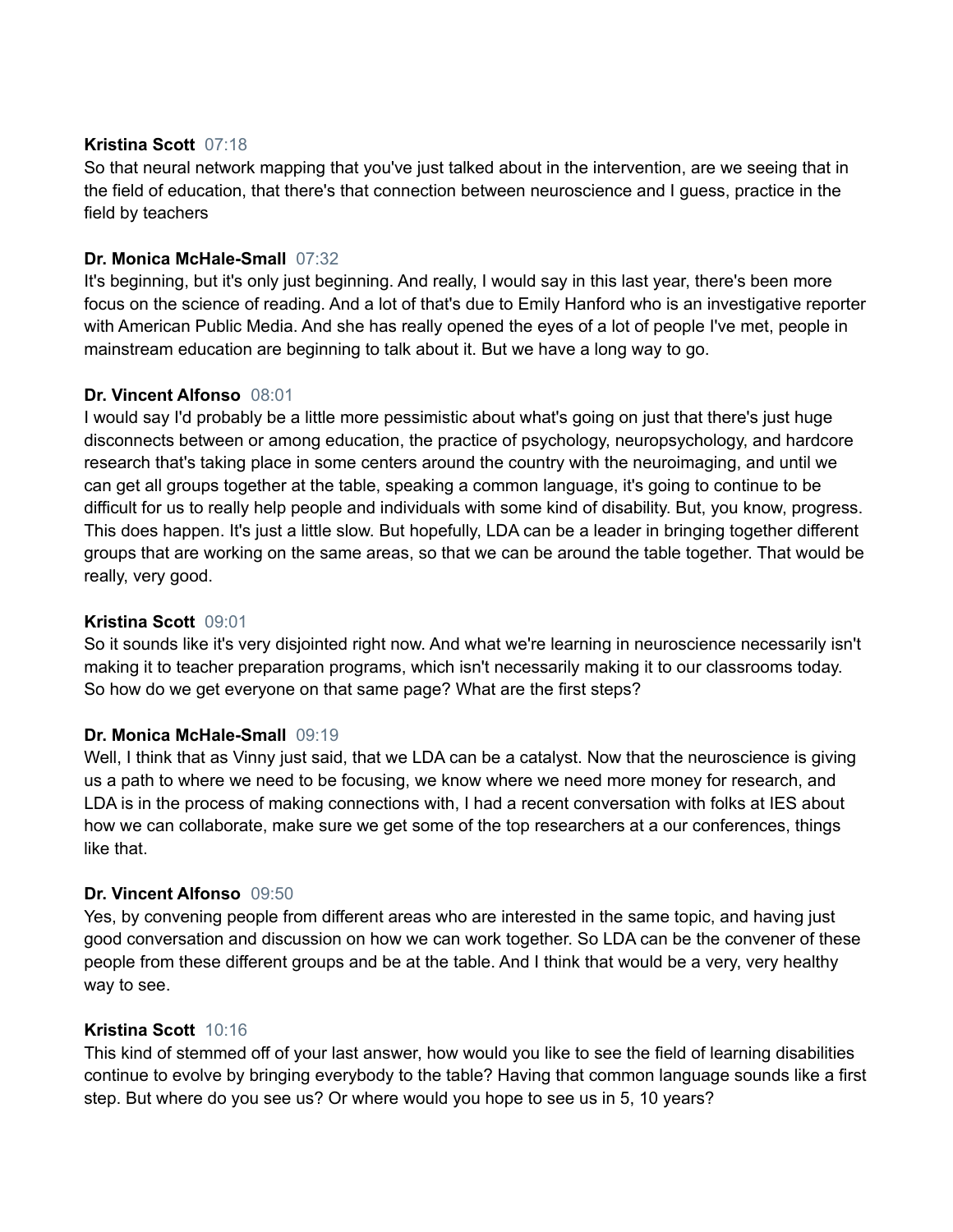## **Kristina Scott** 07:18

So that neural network mapping that you've just talked about in the intervention, are we seeing that in the field of education, that there's that connection between neuroscience and I guess, practice in the field by teachers

## **Dr. Monica McHale-Small** 07:32

It's beginning, but it's only just beginning. And really, I would say in this last year, there's been more focus on the science of reading. And a lot of that's due to Emily Hanford who is an investigative reporter with American Public Media. And she has really opened the eyes of a lot of people I've met, people in mainstream education are beginning to talk about it. But we have a long way to go.

#### **Dr. Vincent Alfonso** 08:01

I would say I'd probably be a little more pessimistic about what's going on just that there's just huge disconnects between or among education, the practice of psychology, neuropsychology, and hardcore research that's taking place in some centers around the country with the neuroimaging, and until we can get all groups together at the table, speaking a common language, it's going to continue to be difficult for us to really help people and individuals with some kind of disability. But, you know, progress. This does happen. It's just a little slow. But hopefully, LDA can be a leader in bringing together different groups that are working on the same areas, so that we can be around the table together. That would be really, very good.

#### **Kristina Scott** 09:01

So it sounds like it's very disjointed right now. And what we're learning in neuroscience necessarily isn't making it to teacher preparation programs, which isn't necessarily making it to our classrooms today. So how do we get everyone on that same page? What are the first steps?

# **Dr. Monica McHale-Small** 09:19

Well, I think that as Vinny just said, that we LDA can be a catalyst. Now that the neuroscience is giving us a path to where we need to be focusing, we know where we need more money for research, and LDA is in the process of making connections with, I had a recent conversation with folks at IES about how we can collaborate, make sure we get some of the top researchers at a our conferences, things like that.

#### **Dr. Vincent Alfonso** 09:50

Yes, by convening people from different areas who are interested in the same topic, and having just good conversation and discussion on how we can work together. So LDA can be the convener of these people from these different groups and be at the table. And I think that would be a very, very healthy way to see.

#### **Kristina Scott** 10:16

This kind of stemmed off of your last answer, how would you like to see the field of learning disabilities continue to evolve by bringing everybody to the table? Having that common language sounds like a first step. But where do you see us? Or where would you hope to see us in 5, 10 years?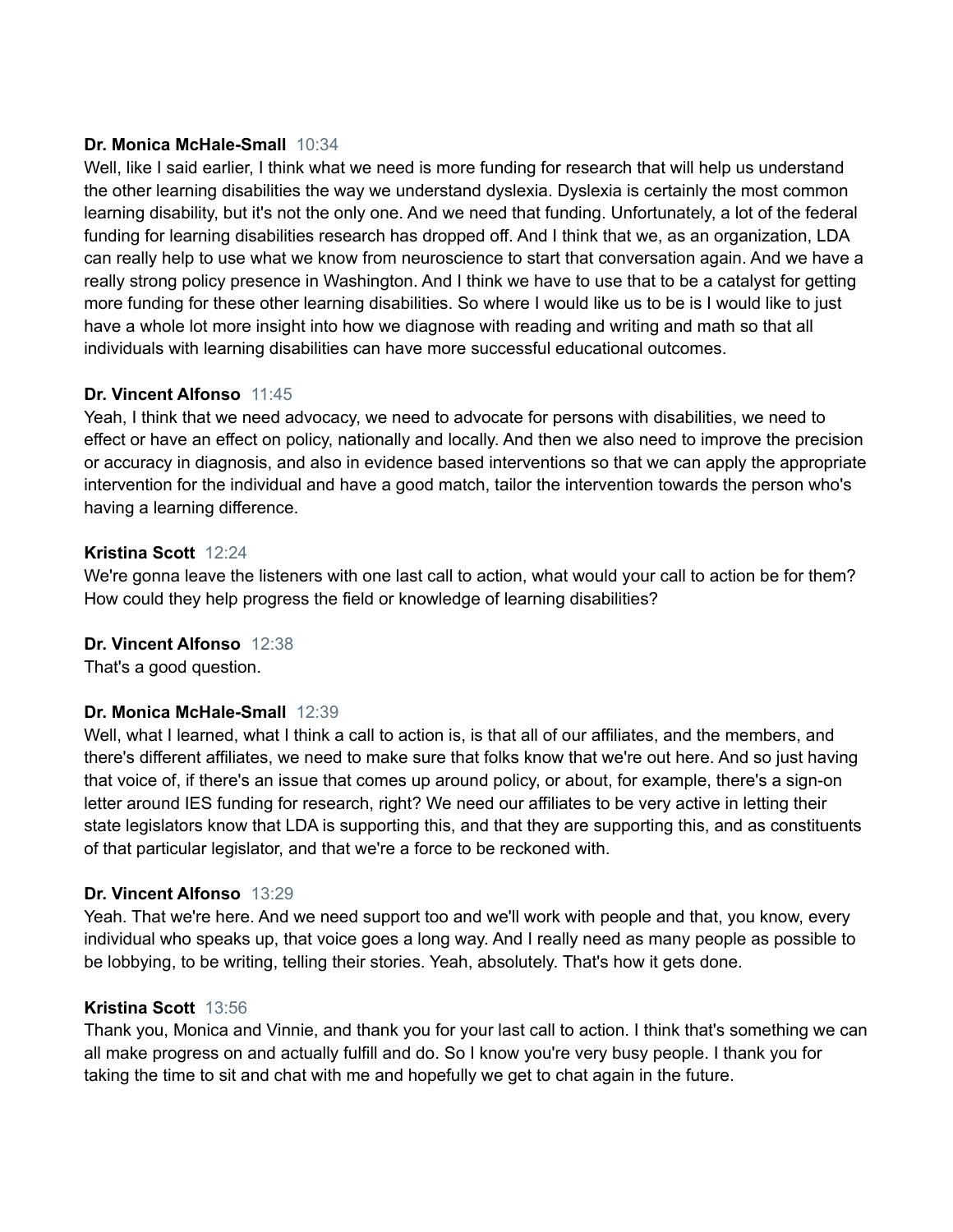# **Dr. Monica McHale-Small** 10:34

Well, like I said earlier, I think what we need is more funding for research that will help us understand the other learning disabilities the way we understand dyslexia. Dyslexia is certainly the most common learning disability, but it's not the only one. And we need that funding. Unfortunately, a lot of the federal funding for learning disabilities research has dropped off. And I think that we, as an organization, LDA can really help to use what we know from neuroscience to start that conversation again. And we have a really strong policy presence in Washington. And I think we have to use that to be a catalyst for getting more funding for these other learning disabilities. So where I would like us to be is I would like to just have a whole lot more insight into how we diagnose with reading and writing and math so that all individuals with learning disabilities can have more successful educational outcomes.

# **Dr. Vincent Alfonso** 11:45

Yeah, I think that we need advocacy, we need to advocate for persons with disabilities, we need to effect or have an effect on policy, nationally and locally. And then we also need to improve the precision or accuracy in diagnosis, and also in evidence based interventions so that we can apply the appropriate intervention for the individual and have a good match, tailor the intervention towards the person who's having a learning difference.

# **Kristina Scott** 12:24

We're gonna leave the listeners with one last call to action, what would your call to action be for them? How could they help progress the field or knowledge of learning disabilities?

# **Dr. Vincent Alfonso** 12:38

That's a good question.

# **Dr. Monica McHale-Small** 12:39

Well, what I learned, what I think a call to action is, is that all of our affiliates, and the members, and there's different affiliates, we need to make sure that folks know that we're out here. And so just having that voice of, if there's an issue that comes up around policy, or about, for example, there's a sign-on letter around IES funding for research, right? We need our affiliates to be very active in letting their state legislators know that LDA is supporting this, and that they are supporting this, and as constituents of that particular legislator, and that we're a force to be reckoned with.

# **Dr. Vincent Alfonso** 13:29

Yeah. That we're here. And we need support too and we'll work with people and that, you know, every individual who speaks up, that voice goes a long way. And I really need as many people as possible to be lobbying, to be writing, telling their stories. Yeah, absolutely. That's how it gets done.

# **Kristina Scott** 13:56

Thank you, Monica and Vinnie, and thank you for your last call to action. I think that's something we can all make progress on and actually fulfill and do. So I know you're very busy people. I thank you for taking the time to sit and chat with me and hopefully we get to chat again in the future.